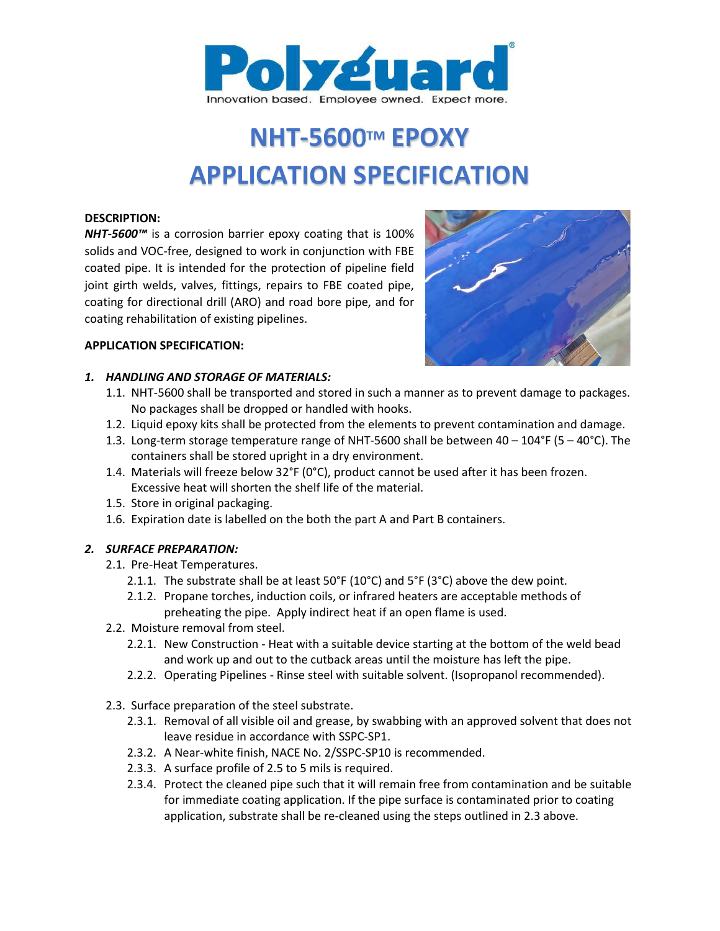

# NHT-5600™ EPOXY APPLICATION SPECIFICATION

#### DESCRIPTION:

NHT-5600™ is a corrosion barrier epoxy coating that is 100% solids and VOC-free, designed to work in conjunction with FBE coated pipe. It is intended for the protection of pipeline field joint girth welds, valves, fittings, repairs to FBE coated pipe, coating for directional drill (ARO) and road bore pipe, and for coating rehabilitation of existing pipelines.





### 1. HANDLING AND STORAGE OF MATERIALS:

- 1.1. NHT-5600 shall be transported and stored in such a manner as to prevent damage to packages. No packages shall be dropped or handled with hooks.
- 1.2. Liquid epoxy kits shall be protected from the elements to prevent contamination and damage.
- 1.3. Long-term storage temperature range of NHT-5600 shall be between 40 104°F (5 40°C). The containers shall be stored upright in a dry environment.
- 1.4. Materials will freeze below 32°F (0°C), product cannot be used after it has been frozen. Excessive heat will shorten the shelf life of the material.
- 1.5. Store in original packaging.
- 1.6. Expiration date is labelled on the both the part A and Part B containers.

# 2. SURFACE PREPARATION:

- 2.1. Pre-Heat Temperatures.
	- 2.1.1. The substrate shall be at least  $50^{\circ}F(10^{\circ}C)$  and  $5^{\circ}F(3^{\circ}C)$  above the dew point.
	- 2.1.2. Propane torches, induction coils, or infrared heaters are acceptable methods of preheating the pipe. Apply indirect heat if an open flame is used.
- 2.2. Moisture removal from steel.
	- 2.2.1. New Construction Heat with a suitable device starting at the bottom of the weld bead and work up and out to the cutback areas until the moisture has left the pipe.
	- 2.2.2. Operating Pipelines Rinse steel with suitable solvent. (Isopropanol recommended).
- 2.3. Surface preparation of the steel substrate.
	- 2.3.1. Removal of all visible oil and grease, by swabbing with an approved solvent that does not leave residue in accordance with SSPC-SP1.
	- 2.3.2. A Near-white finish, NACE No. 2/SSPC-SP10 is recommended.
	- 2.3.3. A surface profile of 2.5 to 5 mils is required.
	- 2.3.4. Protect the cleaned pipe such that it will remain free from contamination and be suitable for immediate coating application. If the pipe surface is contaminated prior to coating application, substrate shall be re-cleaned using the steps outlined in 2.3 above.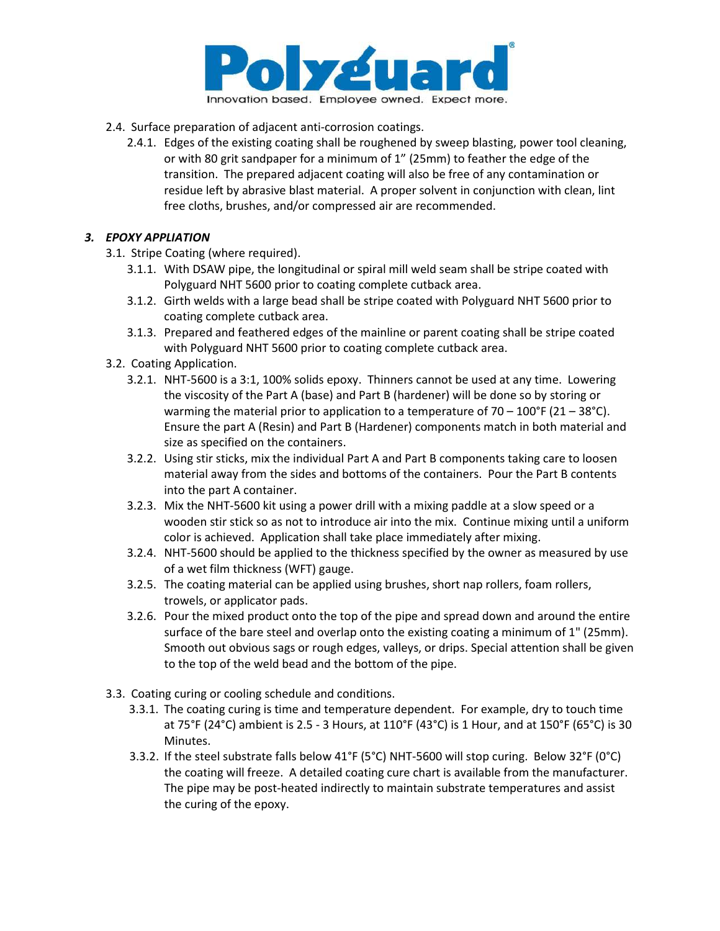

- 2.4. Surface preparation of adjacent anti-corrosion coatings.
	- 2.4.1. Edges of the existing coating shall be roughened by sweep blasting, power tool cleaning, or with 80 grit sandpaper for a minimum of 1" (25mm) to feather the edge of the transition. The prepared adjacent coating will also be free of any contamination or residue left by abrasive blast material. A proper solvent in conjunction with clean, lint free cloths, brushes, and/or compressed air are recommended.

# 3. EPOXY APPLIATION

- 3.1. Stripe Coating (where required).
	- 3.1.1. With DSAW pipe, the longitudinal or spiral mill weld seam shall be stripe coated with Polyguard NHT 5600 prior to coating complete cutback area.
	- 3.1.2. Girth welds with a large bead shall be stripe coated with Polyguard NHT 5600 prior to coating complete cutback area.
	- 3.1.3. Prepared and feathered edges of the mainline or parent coating shall be stripe coated with Polyguard NHT 5600 prior to coating complete cutback area.
- 3.2. Coating Application.
	- 3.2.1. NHT-5600 is a 3:1, 100% solids epoxy. Thinners cannot be used at any time. Lowering the viscosity of the Part A (base) and Part B (hardener) will be done so by storing or warming the material prior to application to a temperature of  $70 - 100$ °F (21 – 38°C). Ensure the part A (Resin) and Part B (Hardener) components match in both material and size as specified on the containers.
	- 3.2.2. Using stir sticks, mix the individual Part A and Part B components taking care to loosen material away from the sides and bottoms of the containers. Pour the Part B contents into the part A container.
	- 3.2.3. Mix the NHT-5600 kit using a power drill with a mixing paddle at a slow speed or a wooden stir stick so as not to introduce air into the mix. Continue mixing until a uniform color is achieved. Application shall take place immediately after mixing.
	- 3.2.4. NHT-5600 should be applied to the thickness specified by the owner as measured by use of a wet film thickness (WFT) gauge.
	- 3.2.5. The coating material can be applied using brushes, short nap rollers, foam rollers, trowels, or applicator pads.
	- 3.2.6. Pour the mixed product onto the top of the pipe and spread down and around the entire surface of the bare steel and overlap onto the existing coating a minimum of 1" (25mm). Smooth out obvious sags or rough edges, valleys, or drips. Special attention shall be given to the top of the weld bead and the bottom of the pipe.
- 3.3. Coating curing or cooling schedule and conditions.
	- 3.3.1. The coating curing is time and temperature dependent. For example, dry to touch time at 75°F (24°C) ambient is 2.5 - 3 Hours, at 110°F (43°C) is 1 Hour, and at 150°F (65°C) is 30 Minutes.
	- 3.3.2. If the steel substrate falls below 41°F (5°C) NHT-5600 will stop curing. Below 32°F (0°C) the coating will freeze. A detailed coating cure chart is available from the manufacturer. The pipe may be post-heated indirectly to maintain substrate temperatures and assist the curing of the epoxy.